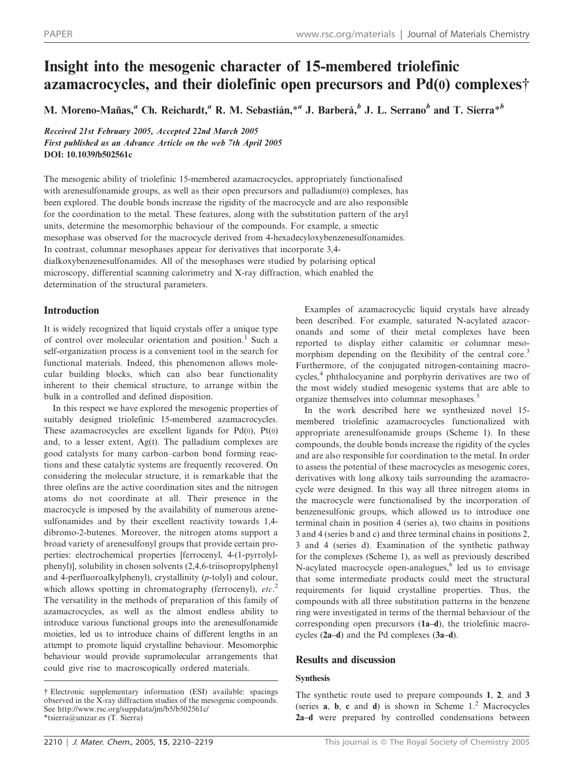# Insight into the mesogenic character of 15-membered triolefinic azamacrocycles, and their diolefinic open precursors and  $Pd(0)$  complexes $\dagger$

M. Moreno-Mañas,<sup>a</sup> Ch. Reichardt,<sup>a</sup> R. M. Sebastián,<sup>\*a</sup> J. Barberá,<sup>b</sup> J. L. Serrano<sup>b</sup> and T. Sierra<sup>\*b</sup>

Received 21st February 2005, Accepted 22nd March 2005 First published as an Advance Article on the web 7th April 2005 DOI: 10.1039/b502561c

The mesogenic ability of triolefinic 15-membered azamacrocycles, appropriately functionalised with arenesulfonamide groups, as well as their open precursors and palladium(0) complexes, has been explored. The double bonds increase the rigidity of the macrocycle and are also responsible for the coordination to the metal. These features, along with the substitution pattern of the aryl units, determine the mesomorphic behaviour of the compounds. For example, a smectic mesophase was observed for the macrocycle derived from 4-hexadecyloxybenzenesulfonamides. In contrast, columnar mesophases appear for derivatives that incorporate 3,4 dialkoxybenzenesulfonamides. All of the mesophases were studied by polarising optical microscopy, differential scanning calorimetry and X-ray diffraction, which enabled the determination of the structural parameters.

# Introduction

It is widely recognized that liquid crystals offer a unique type of control over molecular orientation and position.<sup>1</sup> Such a self-organization process is a convenient tool in the search for functional materials. Indeed, this phenomenon allows molecular building blocks, which can also bear functionality inherent to their chemical structure, to arrange within the bulk in a controlled and defined disposition.

In this respect we have explored the mesogenic properties of suitably designed triolefinic 15-membered azamacrocycles. These azamacrocycles are excellent ligands for  $Pd(0)$ ,  $Pt(0)$ and, to a lesser extent, Ag(I). The palladium complexes are good catalysts for many carbon–carbon bond forming reactions and these catalytic systems are frequently recovered. On considering the molecular structure, it is remarkable that the three olefins are the active coordination sites and the nitrogen atoms do not coordinate at all. Their presence in the macrocycle is imposed by the availability of numerous arenesulfonamides and by their excellent reactivity towards 1,4 dibromo-2-butenes. Moreover, the nitrogen atoms support a broad variety of arenesulfonyl groups that provide certain properties: electrochemical properties [ferrocenyl, 4-(1-pyrrolylphenyl)], solubility in chosen solvents (2,4,6-triisopropylphenyl and 4-perfluoroalkylphenyl), crystallinity (p-tolyl) and colour, which allows spotting in chromatography (ferrocenyl),  $etc.<sup>2</sup>$ The versatility in the methods of preparation of this family of azamacrocycles, as well as the almost endless ability to introduce various functional groups into the arenesulfonamide moieties, led us to introduce chains of different lengths in an attempt to promote liquid crystalline behaviour. Mesomorphic behaviour would provide supramolecular arrangements that could give rise to macroscopically ordered materials.

Examples of azamacrocyclic liquid crystals have already been described. For example, saturated N-acylated azacoronands and some of their metal complexes have been reported to display either calamitic or columnar mesomorphism depending on the flexibility of the central core.<sup>3</sup> Furthermore, of the conjugated nitrogen-containing macrocycles,<sup>4</sup> phthalocyanine and porphyrin derivatives are two of the most widely studied mesogenic systems that are able to organize themselves into columnar mesophases.<sup>5</sup>

In the work described here we synthesized novel 15 membered triolefinic azamacrocycles functionalized with appropriate arenesulfonamide groups (Scheme 1). In these compounds, the double bonds increase the rigidity of the cycles and are also responsible for coordination to the metal. In order to assess the potential of these macrocycles as mesogenic cores, derivatives with long alkoxy tails surrounding the azamacrocycle were designed. In this way all three nitrogen atoms in the macrocycle were functionalised by the incorporation of benzenesulfonic groups, which allowed us to introduce one terminal chain in position 4 (series a), two chains in positions 3 and 4 (series b and c) and three terminal chains in positions 2, 3 and 4 (series d). Examination of the synthetic pathway for the complexes (Scheme 1), as well as previously described N-acylated macrocycle open-analogues, $6$  led us to envisage that some intermediate products could meet the structural requirements for liquid crystalline properties. Thus, the compounds with all three substitution patterns in the benzene ring were investigated in terms of the thermal behaviour of the corresponding open precursors (1a–d), the triolefinic macrocycles (2a–d) and the Pd complexes (3a–d).

# Results and discussion

## Synthesis

The synthetic route used to prepare compounds 1, 2, and 3 (series  $a$ ,  $b$ ,  $c$  and  $d$ ) is shown in Scheme  $1<sup>2</sup>$  Macrocycles 2a–d were prepared by controlled condensations between

<sup>{</sup> Electronic supplementary information (ESI) available: spacings observed in the X-ray diffraction studies of the mesogenic compounds. See http://www.rsc.org/suppdata/jm/b5/b502561c/ \*tsierra@unizar.es (T. Sierra)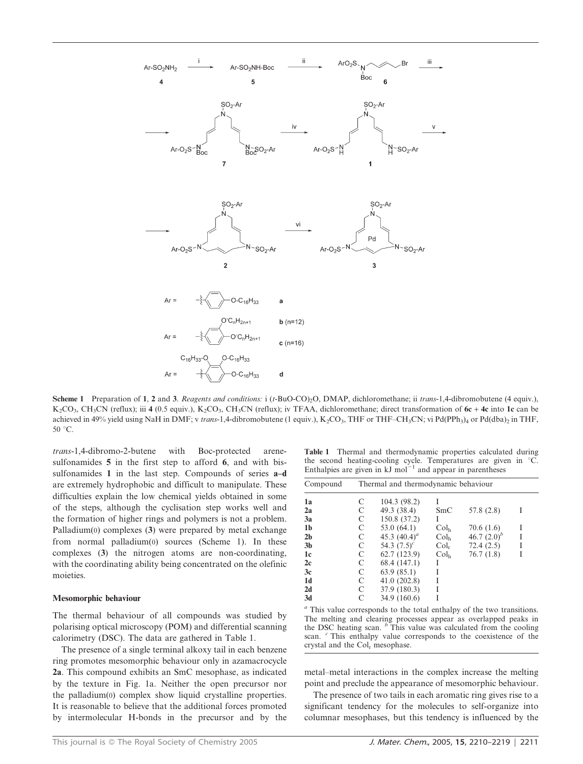

Scheme 1 Preparation of 1, 2 and 3. Reagents and conditions: i (t-BuO-CO)<sub>2</sub>O, DMAP, dichloromethane; ii trans-1,4-dibromobutene (4 equiv.),  $K_2CO_3$ , CH<sub>3</sub>CN (reflux); iii 4 (0.5 equiv.),  $K_2CO_3$ , CH<sub>3</sub>CN (reflux); iv TFAA, dichloromethane; direct transformation of 6c + 4c into 1c can be achieved in 49% yield using NaH in DMF; v trans-1,4-dibromobutene (1 equiv.), K<sub>2</sub>CO<sub>3</sub>, THF or THF–CH<sub>3</sub>CN; vi Pd(PPh<sub>3</sub>)<sub>4</sub> or Pd(dba)<sub>2</sub> in THF,  $50^{\circ}$ C.

trans-1,4-dibromo-2-butene with Boc-protected arenesulfonamides 5 in the first step to afford 6, and with bissulfonamides 1 in the last step. Compounds of series **a-d** are extremely hydrophobic and difficult to manipulate. These difficulties explain the low chemical yields obtained in some of the steps, although the cyclisation step works well and the formation of higher rings and polymers is not a problem. Palladium(0) complexes (3) were prepared by metal exchange from normal palladium(0) sources (Scheme 1). In these complexes (3) the nitrogen atoms are non-coordinating, with the coordinating ability being concentrated on the olefinic moieties.

#### Mesomorphic behaviour

The thermal behaviour of all compounds was studied by polarising optical microscopy (POM) and differential scanning calorimetry (DSC). The data are gathered in Table 1.

The presence of a single terminal alkoxy tail in each benzene ring promotes mesomorphic behaviour only in azamacrocycle 2a. This compound exhibits an SmC mesophase, as indicated by the texture in Fig. 1a. Neither the open precursor nor the palladium(0) complex show liquid crystalline properties. It is reasonable to believe that the additional forces promoted by intermolecular H-bonds in the precursor and by the

Table 1 Thermal and thermodynamic properties calculated during the second heating-cooling cycle. Temperatures are given in  $°C$ . Enthalpies are given in  $kJ$  mol<sup>-1</sup> and appear in parentheses

| Compound       | Thermal and thermodynamic behaviour |                 |                  |                |   |  |
|----------------|-------------------------------------|-----------------|------------------|----------------|---|--|
| 1a             | C                                   | 104.3 (98.2)    |                  |                |   |  |
| 2a             | C                                   | 49.3 (38.4)     | SmC              | 57.8 (2.8)     |   |  |
| 3a             | C                                   | 150.8 (37.2)    | L                |                |   |  |
| 1 <sub>b</sub> | C                                   | 53.0(64.1)      | Col <sub>h</sub> | 70.6(1.6)      |   |  |
| 2 <sub>b</sub> | C                                   | 45.3 $(40.4)^a$ | Col <sub>h</sub> | 46.7 $(2.0)^b$ | I |  |
| 3 <sub>b</sub> | C                                   | 54.3 $(7.5)^c$  | $Col_r$          | 72.4(2.5)      |   |  |
| 1c             | C                                   | 62.7 (123.9)    | Col <sub>h</sub> | 76.7(1.8)      | I |  |
| 2c             | C                                   | 68.4 (147.1)    |                  |                |   |  |
| 3c             | C                                   | 63.9(85.1)      |                  |                |   |  |
| 1d             | C                                   | 41.0(202.8)     |                  |                |   |  |
| 2d             | C                                   | 37.9 (180.3)    |                  |                |   |  |
| 3d             | C                                   | 34.9 (160.6)    |                  |                |   |  |

<sup>a</sup> This value corresponds to the total enthalpy of the two transitions. The melting and clearing processes appear as overlapped peaks in the DSC heating scan.  $\beta$  This value was calculated from the cooling scan. <sup>c</sup> This enthalpy value corresponds to the coexistence of the crystal and the Col<sub>r</sub> mesophase.

metal–metal interactions in the complex increase the melting point and preclude the appearance of mesomorphic behaviour.

The presence of two tails in each aromatic ring gives rise to a significant tendency for the molecules to self-organize into columnar mesophases, but this tendency is influenced by the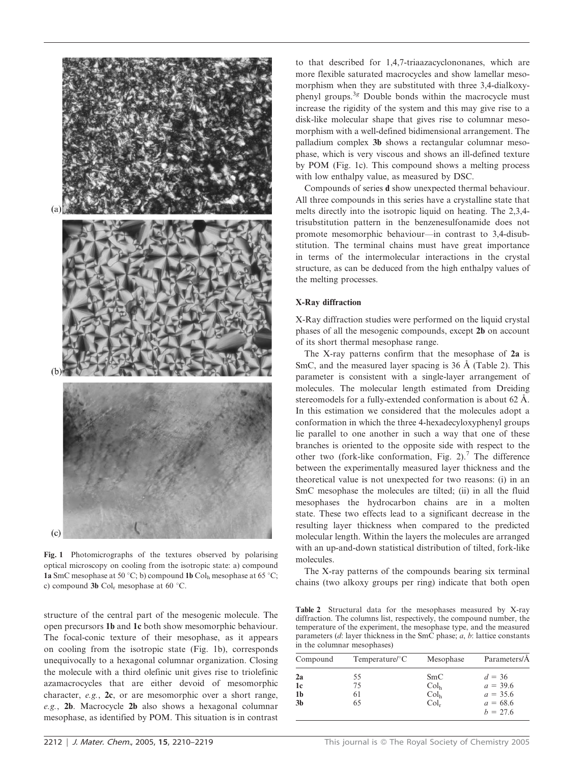

Fig. 1 Photomicrographs of the textures observed by polarising optical microscopy on cooling from the isotropic state: a) compound 1a SmC mesophase at 50 °C; b) compound 1b Col<sub>h</sub> mesophase at 65 °C; c) compound 3b  $Col_r$  mesophase at 60 °C.

structure of the central part of the mesogenic molecule. The open precursors 1b and 1c both show mesomorphic behaviour. The focal-conic texture of their mesophase, as it appears on cooling from the isotropic state (Fig. 1b), corresponds unequivocally to a hexagonal columnar organization. Closing the molecule with a third olefinic unit gives rise to triolefinic azamacrocycles that are either devoid of mesomorphic character, e.g., 2c, or are mesomorphic over a short range, e.g., 2b. Macrocycle 2b also shows a hexagonal columnar mesophase, as identified by POM. This situation is in contrast

to that described for 1,4,7-triaazacyclononanes, which are more flexible saturated macrocycles and show lamellar mesomorphism when they are substituted with three 3,4-dialkoxyphenyl groups. $3g$  Double bonds within the macrocycle must increase the rigidity of the system and this may give rise to a disk-like molecular shape that gives rise to columnar mesomorphism with a well-defined bidimensional arrangement. The palladium complex 3b shows a rectangular columnar mesophase, which is very viscous and shows an ill-defined texture by POM (Fig. 1c). This compound shows a melting process with low enthalpy value, as measured by DSC.

Compounds of series d show unexpected thermal behaviour. All three compounds in this series have a crystalline state that melts directly into the isotropic liquid on heating. The 2,3,4 trisubstitution pattern in the benzenesulfonamide does not promote mesomorphic behaviour—in contrast to 3,4-disubstitution. The terminal chains must have great importance in terms of the intermolecular interactions in the crystal structure, as can be deduced from the high enthalpy values of the melting processes.

#### X-Ray diffraction

X-Ray diffraction studies were performed on the liquid crystal phases of all the mesogenic compounds, except 2b on account of its short thermal mesophase range.

The X-ray patterns confirm that the mesophase of 2a is SmC, and the measured layer spacing is  $36 \text{ Å}$  (Table 2). This parameter is consistent with a single-layer arrangement of molecules. The molecular length estimated from Dreiding stereomodels for a fully-extended conformation is about 62 Å. In this estimation we considered that the molecules adopt a conformation in which the three 4-hexadecyloxyphenyl groups lie parallel to one another in such a way that one of these branches is oriented to the opposite side with respect to the other two (fork-like conformation, Fig. 2).<sup>7</sup> The difference between the experimentally measured layer thickness and the theoretical value is not unexpected for two reasons: (i) in an SmC mesophase the molecules are tilted; (ii) in all the fluid mesophases the hydrocarbon chains are in a molten state. These two effects lead to a significant decrease in the resulting layer thickness when compared to the predicted molecular length. Within the layers the molecules are arranged with an up-and-down statistical distribution of tilted, fork-like molecules.

The X-ray patterns of the compounds bearing six terminal chains (two alkoxy groups per ring) indicate that both open

Table 2 Structural data for the mesophases measured by X-ray diffraction. The columns list, respectively, the compound number, the temperature of the experiment, the mesophase type, and the measured parameters  $(d:$  layer thickness in the SmC phase;  $a, b:$  lattice constants in the columnar mesophases)

| Compound                                                 | $Temperature$ <sup><math>\circ</math></sup> C | Mesophase                                              | Parameters/Å                                                     |
|----------------------------------------------------------|-----------------------------------------------|--------------------------------------------------------|------------------------------------------------------------------|
| 2a<br>1 <sub>c</sub><br>1 <sub>b</sub><br>3 <sub>b</sub> | 55<br>75<br>61<br>65                          | SmC<br>Col <sub>h</sub><br>Col <sub>h</sub><br>$Col_r$ | $d = 36$<br>$a = 39.6$<br>$a = 35.6$<br>$a = 68.6$<br>$h = 27.6$ |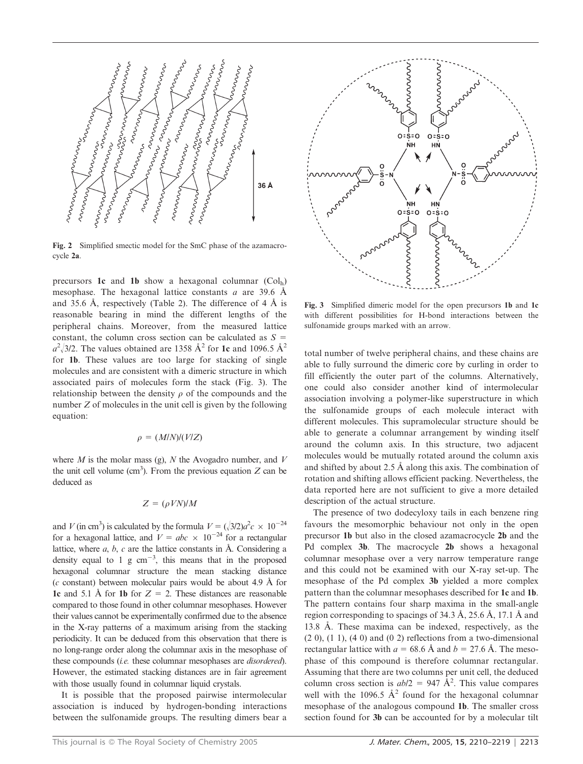

Fig. 2 Simplified smectic model for the SmC phase of the azamacrocycle 2a.

precursors 1c and 1b show a hexagonal columnar (Colh) mesophase. The hexagonal lattice constants a are 39.6  $\AA$ and 35.6 Å, respectively (Table 2). The difference of 4 Å is reasonable bearing in mind the different lengths of the peripheral chains. Moreover, from the measured lattice constant, the column cross section can be calculated as  $S =$  $a^2$ /3/2. The values obtained are 1358 Å<sup>2</sup> for 1c and 1096.5 Å<sup>2</sup> for 1b. These values are too large for stacking of single molecules and are consistent with a dimeric structure in which associated pairs of molecules form the stack (Fig. 3). The relationship between the density  $\rho$  of the compounds and the number  $Z$  of molecules in the unit cell is given by the following equation:

$$
\rho = (M/N)/(V/Z)
$$

where  $M$  is the molar mass (g),  $N$  the Avogadro number, and  $V$ the unit cell volume (cm<sup>3</sup>). From the previous equation  $Z$  can be deduced as

## $Z = (\rho V N) / M$

and V (in cm<sup>3</sup>) is calculated by the formula  $V = (\sqrt{3}/2)a^2c \times 10^{-24}$ for a hexagonal lattice, and  $V = abc \times 10^{-24}$  for a rectangular lattice, where  $a, b, c$  are the lattice constants in  $A$ . Considering a density equal to 1 g  $cm^{-3}$ , this means that in the proposed hexagonal columnar structure the mean stacking distance  $(c \text{ constant})$  between molecular pairs would be about 4.9 Å for 1c and 5.1 Å for 1b for  $Z = 2$ . These distances are reasonable compared to those found in other columnar mesophases. However their values cannot be experimentally confirmed due to the absence in the X-ray patterns of a maximum arising from the stacking periodicity. It can be deduced from this observation that there is no long-range order along the columnar axis in the mesophase of these compounds *(i.e.* these columnar mesophases are *disordered*). However, the estimated stacking distances are in fair agreement with those usually found in columnar liquid crystals.

It is possible that the proposed pairwise intermolecular association is induced by hydrogen-bonding interactions between the sulfonamide groups. The resulting dimers bear a



Fig. 3 Simplified dimeric model for the open precursors 1b and 1c with different possibilities for H-bond interactions between the sulfonamide groups marked with an arrow.

total number of twelve peripheral chains, and these chains are able to fully surround the dimeric core by curling in order to fill efficiently the outer part of the columns. Alternatively, one could also consider another kind of intermolecular association involving a polymer-like superstructure in which the sulfonamide groups of each molecule interact with different molecules. This supramolecular structure should be able to generate a columnar arrangement by winding itself around the column axis. In this structure, two adjacent molecules would be mutually rotated around the column axis and shifted by about 2.5 Å along this axis. The combination of rotation and shifting allows efficient packing. Nevertheless, the data reported here are not sufficient to give a more detailed description of the actual structure.

The presence of two dodecyloxy tails in each benzene ring favours the mesomorphic behaviour not only in the open precursor 1b but also in the closed azamacrocycle 2b and the Pd complex 3b. The macrocycle 2b shows a hexagonal columnar mesophase over a very narrow temperature range and this could not be examined with our X-ray set-up. The mesophase of the Pd complex 3b yielded a more complex pattern than the columnar mesophases described for 1c and 1b. The pattern contains four sharp maxima in the small-angle region corresponding to spacings of 34.3 Å, 25.6 Å, 17.1 Å and 13.8 Å. These maxima can be indexed, respectively, as the  $(2 0)$ ,  $(1 1)$ ,  $(4 0)$  and  $(0 2)$  reflections from a two-dimensional rectangular lattice with  $a = 68.6$  Å and  $b = 27.6$  Å. The mesophase of this compound is therefore columnar rectangular. Assuming that there are two columns per unit cell, the deduced column cross section is  $ab/2 = 947 \text{ Å}^2$ . This value compares well with the 1096.5  $A^2$  found for the hexagonal columnar mesophase of the analogous compound 1b. The smaller cross section found for 3b can be accounted for by a molecular tilt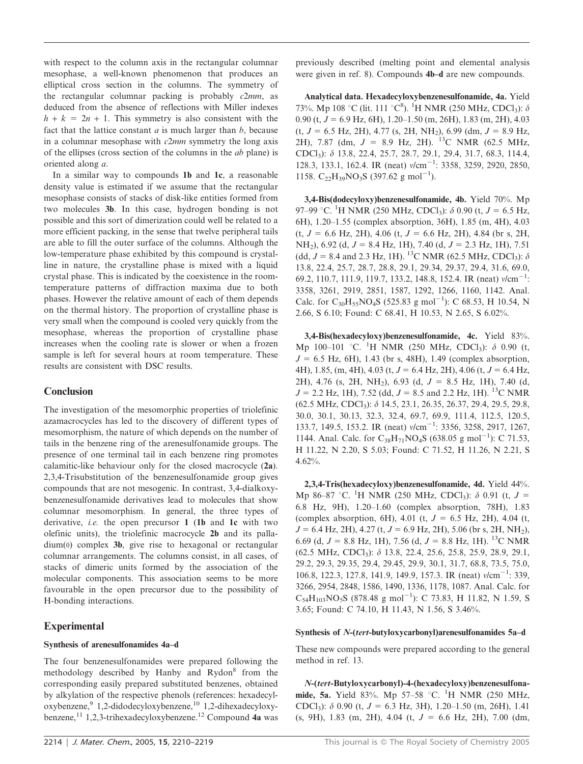with respect to the column axis in the rectangular columnar mesophase, a well-known phenomenon that produces an elliptical cross section in the columns. The symmetry of the rectangular columnar packing is probably  $c2mm$ , as deduced from the absence of reflections with Miller indexes  $h + k = 2n + 1$ . This symmetry is also consistent with the fact that the lattice constant  $a$  is much larger than  $b$ , because in a columnar mesophase with  $c2mm$  symmetry the long axis of the ellipses (cross section of the columns in the ab plane) is oriented along a.

In a similar way to compounds 1b and 1c, a reasonable density value is estimated if we assume that the rectangular mesophase consists of stacks of disk-like entities formed from two molecules 3b. In this case, hydrogen bonding is not possible and this sort of dimerization could well be related to a more efficient packing, in the sense that twelve peripheral tails are able to fill the outer surface of the columns. Although the low-temperature phase exhibited by this compound is crystalline in nature, the crystalline phase is mixed with a liquid crystal phase. This is indicated by the coexistence in the roomtemperature patterns of diffraction maxima due to both phases. However the relative amount of each of them depends on the thermal history. The proportion of crystalline phase is very small when the compound is cooled very quickly from the mesophase, whereas the proportion of crystalline phase increases when the cooling rate is slower or when a frozen sample is left for several hours at room temperature. These results are consistent with DSC results.

## **Conclusion**

The investigation of the mesomorphic properties of triolefinic azamacrocycles has led to the discovery of different types of mesomorphism, the nature of which depends on the number of tails in the benzene ring of the arenesulfonamide groups. The presence of one terminal tail in each benzene ring promotes calamitic-like behaviour only for the closed macrocycle (2a). 2,3,4-Trisubstitution of the benzenesulfonamide group gives compounds that are not mesogenic. In contrast, 3,4-dialkoxybenzenesulfonamide derivatives lead to molecules that show columnar mesomorphism. In general, the three types of derivative, *i.e.* the open precursor  $1$  (1b and 1c with two olefinic units), the triolefinic macrocycle 2b and its palladium(0) complex 3b, give rise to hexagonal or rectangular columnar arrangements. The columns consist, in all cases, of stacks of dimeric units formed by the association of the molecular components. This association seems to be more favourable in the open precursor due to the possibility of H-bonding interactions.

## Experimental

#### Synthesis of arenesulfonamides 4a–d

The four benzenesulfonamides were prepared following the methodology described by Hanby and Rydon<sup>8</sup> from the corresponding easily prepared substituted benzenes, obtained by alkylation of the respective phenols (references: hexadecyloxybenzene,<sup>9</sup> 1,2-didodecyloxybenzene,<sup>10</sup> 1,2-dihexadecyloxybenzene,<sup>11</sup> 1,2,3-trihexadecyloxybenzene.<sup>12</sup> Compound 4a was

previously described (melting point and elemental analysis were given in ref. 8). Compounds 4b–d are new compounds.

Analytical data. Hexadecyloxybenzenesulfonamide, 4a. Yield 73%. Mp 108 °C (lit. 111 °C $^8$ ). <sup>1</sup>H NMR (250 MHz, CDCl<sub>3</sub>):  $\delta$ 0.90 (t,  $J = 6.9$  Hz, 6H), 1.20–1.50 (m, 26H), 1.83 (m, 2H), 4.03  $(t, J = 6.5 \text{ Hz}, 2\text{H}), 4.77 \text{ (s, } 2\text{H}, \text{NH}_2), 6.99 \text{ (dm}, J = 8.9 \text{ Hz},$ 2H), 7.87 (dm,  $J = 8.9$  Hz, 2H). <sup>13</sup>C NMR (62.5 MHz, CDCl3): d 13.8, 22.4, 25.7, 28.7, 29.1, 29.4, 31.7, 68.3, 114.4, 128.3, 133.1, 162.4. IR (neat)  $v/cm^{-1}$ : 3358, 3259, 2920, 2850, 1158. C<sub>22</sub>H<sub>39</sub>NO<sub>3</sub>S (397.62 g mol<sup>-1</sup>).

3,4-Bis(dodecyloxy)benzenesulfonamide, 4b. Yield 70%. Mp 97–99 °C. <sup>1</sup>H NMR (250 MHz, CDCl<sub>3</sub>):  $\delta$  0.90 (t, J = 6.5 Hz, 6H), 1.20–1.55 (complex absorption, 36H), 1.85 (m, 4H), 4.03  $(t, J = 6.6 \text{ Hz}, 2\text{H})$ , 4.06  $(t, J = 6.6 \text{ Hz}, 2\text{H})$ , 4.84 (br s, 2H, NH<sub>2</sub>), 6.92 (d,  $J = 8.4$  Hz, 1H), 7.40 (d,  $J = 2.3$  Hz, 1H), 7.51 (dd,  $J = 8.4$  and 2.3 Hz, 1H). <sup>13</sup>C NMR (62.5 MHz, CDCl<sub>3</sub>):  $\delta$ 13.8, 22.4, 25.7, 28.7, 28.8, 29.1, 29.34, 29.37, 29.4, 31.6, 69.0, 69.2, 110.7, 111.9, 119.7, 133.2, 148.8, 152.4. IR (neat)  $v/cm^{-1}$ : 3358, 3261, 2919, 2851, 1587, 1292, 1266, 1160, 1142. Anal. Calc. for C<sub>30</sub>H<sub>55</sub>NO<sub>4</sub>S (525.83 g mol<sup>-1</sup>): C 68.53, H 10.54, N 2.66, S 6.10; Found: C 68.41, H 10.53, N 2.65, S 6.02%.

3,4-Bis(hexadecyloxy)benzenesulfonamide, 4c. Yield 83%. Mp 100–101 °C. <sup>1</sup>H NMR (250 MHz, CDCl<sub>3</sub>):  $\delta$  0.90 (t,  $J = 6.5$  Hz, 6H), 1.43 (br s, 48H), 1.49 (complex absorption, 4H), 1.85, (m, 4H), 4.03 (t,  $J = 6.4$  Hz, 2H), 4.06 (t,  $J = 6.4$  Hz, 2H), 4.76 (s, 2H, NH<sub>2</sub>), 6.93 (d,  $J = 8.5$  Hz, 1H), 7.40 (d,  $J = 2.2$  Hz, 1H), 7.52 (dd,  $J = 8.5$  and 2.2 Hz, 1H). <sup>13</sup>C NMR (62.5 MHz, CDCl3): d 14.5, 23.1, 26.35, 26.37, 29.4, 29.5, 29.8, 30.0, 30.1, 30.13, 32.3, 32.4, 69.7, 69.9, 111.4, 112.5, 120.5, 133.7, 149.5, 153.2. IR (neat)  $v/cm^{-1}$ : 3356, 3258, 2917, 1267, 1144. Anal. Calc. for  $C_{38}H_{71}NO_4S$  (638.05 g mol<sup>-1</sup>): C 71.53, H 11.22, N 2.20, S 5.03; Found: C 71.52, H 11.26, N 2.21, S 4.62%.

2,3,4-Tris(hexadecyloxy)benzenesulfonamide, 4d. Yield 44%. Mp 86–87 °C. <sup>1</sup>H NMR (250 MHz, CDCl<sub>3</sub>):  $\delta$  0.91 (t, J = 6.8 Hz, 9H), 1.20–1.60 (complex absorption, 78H), 1.83 (complex absorption, 6H), 4.01 (t,  $J = 6.5$  Hz, 2H), 4.04 (t,  $J = 6.4$  Hz, 2H), 4.27 (t,  $J = 6.9$  Hz, 2H), 5.06 (br s, 2H, NH<sub>2</sub>), 6.69 (d,  $J = 8.8$  Hz, 1H), 7.56 (d,  $J = 8.8$  Hz, 1H). <sup>13</sup>C NMR  $(62.5 \text{ MHz}, \text{CDCl}_3)$ :  $\delta$  13.8, 22.4, 25.6, 25.8, 25.9, 28.9, 29.1, 29.2, 29.3, 29.35, 29.4, 29.45, 29.9, 30.1, 31.7, 68.8, 73.5, 75.0, 106.8, 122.3, 127.8, 141.9, 149.9, 157.3. IR (neat)  $v/cm^{-1}$ : 339, 3266, 2954, 2848, 1586, 1490, 1336, 1178, 1087. Anal. Calc. for  $C_{54}H_{103}NO_5S$  (878.48 g mol<sup>-1</sup>): C 73.83, H 11.82, N 1.59, S 3.65; Found: C 74.10, H 11.43, N 1.56, S 3.46%.

#### Synthesis of N-(tert-butyloxycarbonyl)arenesulfonamides 5a–d

These new compounds were prepared according to the general method in ref. 13.

N-(tert-Butyloxycarbonyl)-4-(hexadecyloxy)benzenesulfonamide, 5a. Yield 83%. Mp 57–58 °C. <sup>1</sup>H NMR (250 MHz, CDCl<sub>3</sub>):  $\delta$  0.90 (t,  $J = 6.3$  Hz, 3H), 1.20–1.50 (m, 26H), 1.41  $(s, 9H)$ , 1.83 (m, 2H), 4.04 (t,  $J = 6.6$  Hz, 2H), 7.00 (dm,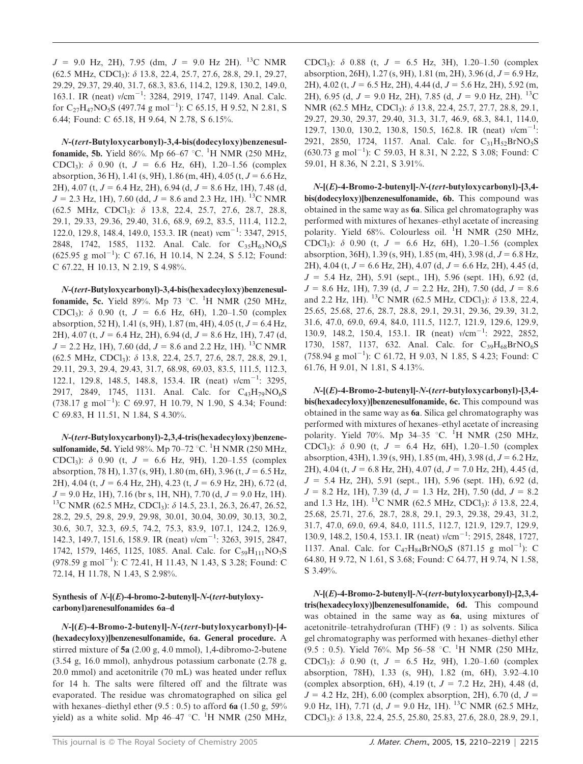$J = 9.0$  Hz, 2H), 7.95 (dm,  $J = 9.0$  Hz 2H). <sup>13</sup>C NMR (62.5 MHz, CDCl3): d 13.8, 22.4, 25.7, 27.6, 28.8, 29.1, 29.27, 29.29, 29.37, 29.40, 31.7, 68.3, 83.6, 114.2, 129.8, 130.2, 149.0, 163.1. IR (neat)  $v/cm^{-1}$ : 3284, 2919, 1747, 1149. Anal. Calc. for  $C_{27}H_{47}NO_5S$  (497.74 g mol<sup>-1</sup>): C 65.15, H 9.52, N 2.81, S 6.44; Found: C 65.18, H 9.64, N 2.78, S 6.15%.

N-(tert-Butyloxycarbonyl)-3,4-bis(dodecyloxy)benzenesul**fonamide, 5b.** Yield 86%. Mp 66–67 °C. <sup>1</sup>H NMR (250 MHz, CDCl<sub>3</sub>):  $\delta$  0.90 (t, J = 6.6 Hz, 6H), 1.20–1.56 (complex absorption, 36 H), 1.41 (s, 9H), 1.86 (m, 4H), 4.05 (t,  $J = 6.6$  Hz, 2H), 4.07 (t,  $J = 6.4$  Hz, 2H), 6.94 (d,  $J = 8.6$  Hz, 1H), 7.48 (d,  $J = 2.3$  Hz, 1H), 7.60 (dd,  $J = 8.6$  and 2.3 Hz, 1H). <sup>13</sup>C NMR (62.5 MHz, CDCl3): d 13.8, 22.4, 25.7, 27.6, 28.7, 28.8, 29.1, 29.33, 29.36, 29.40, 31.6, 68.9, 69.2, 83.5, 111.4, 112.2, 122.0, 129.8, 148.4, 149.0, 153.3. IR (neat) vcm<sup>-1</sup>: 3347, 2915, 2848, 1742, 1585, 1132. Anal. Calc. for  $C_{35}H_{63}NO_6S$  $(625.95 \text{ g mol}^{-1})$ : C 67.16, H 10.14, N 2.24, S 5.12; Found: C 67.22, H 10.13, N 2.19, S 4.98%.

N-(tert-Butyloxycarbonyl)-3,4-bis(hexadecyloxy)benzenesulfonamide, 5c. Yield 89%. Mp 73 °C. <sup>1</sup>H NMR (250 MHz, CDCl<sub>3</sub>):  $\delta$  0.90 (t, J = 6.6 Hz, 6H), 1.20–1.50 (complex absorption, 52 H), 1.41 (s, 9H), 1.87 (m, 4H), 4.05 (t,  $J = 6.4$  Hz, 2H), 4.07 (t,  $J = 6.4$  Hz, 2H), 6.94 (d,  $J = 8.6$  Hz, 1H), 7.47 (d,  $J = 2.2$  Hz, 1H), 7.60 (dd,  $J = 8.6$  and 2.2 Hz, 1H). <sup>13</sup>C NMR (62.5 MHz, CDCl3): d 13.8, 22.4, 25.7, 27.6, 28.7, 28.8, 29.1, 29.11, 29.3, 29.4, 29.43, 31.7, 68.98, 69.03, 83.5, 111.5, 112.3, 122.1, 129.8, 148.5, 148.8, 153.4. IR (neat)  $v/cm^{-1}$ : 3295, 2917, 2849, 1745, 1131. Anal. Calc. for  $C_{43}H_{79}NO_6S$  $(738.17 \text{ g mol}^{-1})$ : C 69.97, H 10.79, N 1.90, S 4.34; Found: C 69.83, H 11.51, N 1.84, S 4.30%.

N-(tert-Butyloxycarbonyl)-2,3,4-tris(hexadecyloxy)benzenesulfonamide, 5d. Yield 98%. Mp 70–72 °C. <sup>1</sup>H NMR (250 MHz, CDCl<sub>3</sub>):  $\delta$  0.90 (t,  $J = 6.6$  Hz, 9H), 1.20–1.55 (complex absorption, 78 H), 1.37 (s, 9H), 1.80 (m, 6H), 3.96 (t,  $J = 6.5$  Hz, 2H), 4.04 (t,  $J = 6.4$  Hz, 2H), 4.23 (t,  $J = 6.9$  Hz, 2H), 6.72 (d,  $J = 9.0$  Hz, 1H), 7.16 (br s, 1H, NH), 7.70 (d,  $J = 9.0$  Hz, 1H). <sup>13</sup>C NMR (62.5 MHz, CDCl<sub>3</sub>):  $\delta$  14.5, 23.1, 26.3, 26.47, 26.52, 28.2, 29.5, 29.8, 29.9, 29.98, 30.01, 30.04, 30.09, 30.13, 30.2, 30.6, 30.7, 32.3, 69.5, 74.2, 75.3, 83.9, 107.1, 124.2, 126.9, 142.3, 149.7, 151.6, 158.9. IR (neat)  $v/cm^{-1}$ : 3263, 3915, 2847, 1742, 1579, 1465, 1125, 1085. Anal. Calc. for  $C_{59}H_{111}NO_7S$  $(978.59 \text{ g mol}^{-1})$ : C 72.41, H 11.43, N 1.43, S 3.28; Found: C 72.14, H 11.78, N 1.43, S 2.98%.

## Synthesis of N-[(E)-4-bromo-2-butenyl]-N-(tert-butyloxycarbonyl)arenesulfonamides 6a–d

N-[(E)-4-Bromo-2-butenyl]-N-(tert-butyloxycarbonyl)-[4- (hexadecyloxy)]benzenesulfonamide, 6a. General procedure. A stirred mixture of 5a (2.00 g, 4.0 mmol), 1,4-dibromo-2-butene (3.54 g, 16.0 mmol), anhydrous potassium carbonate (2.78 g, 20.0 mmol) and acetonitrile (70 mL) was heated under reflux for 14 h. The salts were filtered off and the filtrate was evaporated. The residue was chromatographed on silica gel with hexanes–diethyl ether  $(9.5: 0.5)$  to afford 6a  $(1.50 \text{ g}, 59\%$ yield) as a white solid. Mp 46–47 °C. <sup>1</sup>H NMR (250 MHz,

CDCl<sub>3</sub>):  $\delta$  0.88 (t,  $J = 6.5$  Hz, 3H), 1.20–1.50 (complex absorption, 26H), 1.27 (s, 9H), 1.81 (m, 2H), 3.96 (d,  $J = 6.9$  Hz, 2H), 4.02 (t,  $J = 6.5$  Hz, 2H), 4.44 (d,  $J = 5.6$  Hz, 2H), 5.92 (m, 2H), 6.95 (d,  $J = 9.0$  Hz, 2H), 7.85 (d,  $J = 9.0$  Hz, 2H). <sup>13</sup>C NMR (62.5 MHz, CDCl<sub>3</sub>): δ 13.8, 22.4, 25.7, 27.7, 28.8, 29.1, 29.27, 29.30, 29.37, 29.40, 31.3, 31.7, 46.9, 68.3, 84.1, 114.0, 129.7, 130.0, 130.2, 130.8, 150.5, 162.8. IR (neat)  $v/cm^{-1}$ : 2921, 2850, 1724, 1157. Anal. Calc. for  $C_{31}H_{52}BrNO_5S$  $(630.73 \text{ g mol}^{-1})$ : C 59.03, H 8.31, N 2.22, S 3.08; Found: C 59.01, H 8.36, N 2.21, S 3.91%.

 $N-[E]-4-{\rm Bromo-2-buteny}$ ]- $N-(tert-butyloxycarbonyl)-[3,4$ bis(dodecyloxy)]benzenesulfonamide, 6b. This compound was obtained in the same way as 6a. Silica gel chromatography was performed with mixtures of hexanes–ethyl acetate of increasing polarity. Yield 68%. Colourless oil. <sup>1</sup>H NMR (250 MHz, CDCl<sub>3</sub>):  $\delta$  0.90 (t,  $J = 6.6$  Hz, 6H), 1.20–1.56 (complex absorption, 36H), 1.39 (s, 9H), 1.85 (m, 4H), 3.98 (d,  $J = 6.8$  Hz, 2H), 4.04 (t,  $J = 6.6$  Hz, 2H), 4.07 (d,  $J = 6.6$  Hz, 2H), 4.45 (d,  $J = 5.4$  Hz, 2H), 5.91 (sept., 1H), 5.96 (sept. 1H), 6.92 (d,  $J = 8.6$  Hz, 1H), 7.39 (d,  $J = 2.2$  Hz, 2H), 7.50 (dd,  $J = 8.6$ and 2.2 Hz, 1H). <sup>13</sup>C NMR (62.5 MHz, CDCl<sub>3</sub>):  $\delta$  13.8, 22.4, 25.65, 25.68, 27.6, 28.7, 28.8, 29.1, 29.31, 29.36, 29.39, 31.2, 31.6, 47.0, 69.0, 69.4, 84.0, 111.5, 112.7, 121.9, 129.6, 129.9, 130.9, 148.2, 150.4, 153.1. IR (neat)  $v/cm^{-1}$ : 2922, 2852, 1730, 1587, 1137, 632. Anal. Calc. for  $C_{39}H_{68}BrNO_6S$  $(758.94 \text{ g mol}^{-1})$ : C 61.72, H 9.03, N 1.85, S 4.23; Found: C 61.76, H 9.01, N 1.81, S 4.13%.

N-[(E)-4-Bromo-2-butenyl]-N-(tert-butyloxycarbonyl)-[3,4 bis(hexadecyloxy)]benzenesulfonamide, 6c. This compound was obtained in the same way as 6a. Silica gel chromatography was performed with mixtures of hexanes–ethyl acetate of increasing polarity. Yield 70%. Mp 34-35 °C. <sup>1</sup>H NMR (250 MHz, CDCl<sub>3</sub>):  $\delta$  0.90 (t,  $J = 6.4$  Hz, 6H), 1.20–1.50 (complex absorption, 43H), 1.39 (s, 9H), 1.85 (m, 4H), 3.98 (d,  $J = 6.2$  Hz, 2H), 4.04 (t,  $J = 6.8$  Hz, 2H), 4.07 (d,  $J = 7.0$  Hz, 2H), 4.45 (d,  $J = 5.4$  Hz, 2H), 5.91 (sept., 1H), 5.96 (sept. 1H), 6.92 (d,  $J = 8.2$  Hz, 1H), 7.39 (d,  $J = 1.3$  Hz, 2H), 7.50 (dd,  $J = 8.2$ and 1.3 Hz, 1H). <sup>13</sup>C NMR (62.5 MHz, CDCl<sub>3</sub>):  $\delta$  13.8, 22.4, 25.68, 25.71, 27.6, 28.7, 28.8, 29.1, 29.3, 29.38, 29.43, 31.2, 31.7, 47.0, 69.0, 69.4, 84.0, 111.5, 112.7, 121.9, 129.7, 129.9, 130.9, 148.2, 150.4, 153.1. IR (neat)  $v/cm^{-1}$ : 2915, 2848, 1727, 1137. Anal. Calc. for  $C_{47}H_{84}BrNO_6S$  (871.15 g mol<sup>-1</sup>): C 64.80, H 9.72, N 1.61, S 3.68; Found: C 64.77, H 9.74, N 1.58, S 3.49%.

N-[(E)-4-Bromo-2-butenyl]-N-(tert-butyloxycarbonyl)-[2,3,4 tris(hexadecyloxy)]benzenesulfonamide, 6d. This compound was obtained in the same way as 6a, using mixtures of acetonitrile–tetrahydrofuran (THF) (9 : 1) as solvents. Silica gel chromatography was performed with hexanes–diethyl ether  $(9.5 : 0.5)$ . Yield 76%. Mp 56–58 °C. <sup>1</sup>H NMR (250 MHz, CDCl<sub>3</sub>):  $\delta$  0.90 (t,  $J = 6.5$  Hz, 9H), 1.20–1.60 (complex absorption, 78H), 1.33 (s, 9H), 1.82 (m, 6H), 3.92–4.10 (complex absorption, 6H), 4.19 (t,  $J = 7.2$  Hz, 2H), 4.48 (d,  $J = 4.2$  Hz, 2H), 6.00 (complex absorption, 2H), 6.70 (d,  $J =$ 9.0 Hz, 1H), 7.71 (d,  $J = 9.0$  Hz, 1H). <sup>13</sup>C NMR (62.5 MHz, CDCl3): d 13.8, 22.4, 25.5, 25.80, 25.83, 27.6, 28.0, 28.9, 29.1,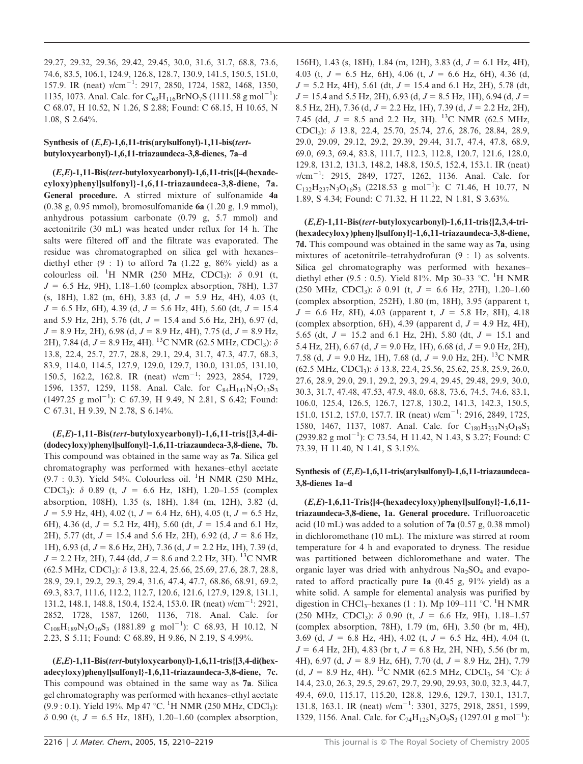29.27, 29.32, 29.36, 29.42, 29.45, 30.0, 31.6, 31.7, 68.8, 73.6, 74.6, 83.5, 106.1, 124.9, 126.8, 128.7, 130.9, 141.5, 150.5, 151.0, 157.9. IR (neat)  $v/cm^{-1}$ : 2917, 2850, 1724, 1582, 1468, 1350, 1135, 1073. Anal. Calc. for  $C_{63}H_{116}BrNO_7S$  (1111.58 g mol<sup>-1</sup>): C 68.07, H 10.52, N 1.26, S 2.88; Found: C 68.15, H 10.65, N 1.08, S 2.64%.

## Synthesis of (E,E)-1,6,11-tris(arylsulfonyl)-1,11-bis(tertbutyloxycarbonyl)-1,6,11-triazaundeca-3,8-dienes, 7a–d

 $(E,E)$ -1,11-Bis(tert-butyloxycarbonyl)-1,6,11-tris{[4-(hexadecyloxy)phenyl]sulfonyl}-1,6,11-triazaundeca-3,8-diene, 7a. General procedure. A stirred mixture of sulfonamide 4a (0.38 g, 0.95 mmol), bromosulfomanide 6a (1.20 g, 1.9 mmol), anhydrous potassium carbonate (0.79 g, 5.7 mmol) and acetonitrile (30 mL) was heated under reflux for 14 h. The salts were filtered off and the filtrate was evaporated. The residue was chromatographed on silica gel with hexanes– diethyl ether  $(9 : 1)$  to afford 7a  $(1.22 \text{ g}, 86\% \text{ yield})$  as a colourless oil. <sup>1</sup>H NMR (250 MHz, CDCl<sub>3</sub>):  $\delta$  0.91 (t,  $J = 6.5$  Hz, 9H), 1.18–1.60 (complex absorption, 78H), 1.37 (s, 18H), 1.82 (m, 6H), 3.83 (d,  $J = 5.9$  Hz, 4H), 4.03 (t,  $J = 6.5$  Hz, 6H), 4.39 (d,  $J = 5.6$  Hz, 4H), 5.60 (dt,  $J = 15.4$ and 5.9 Hz, 2H), 5.76 (dt,  $J = 15.4$  and 5.6 Hz, 2H), 6.97 (d,  $J = 8.9$  Hz, 2H), 6.98 (d,  $J = 8.9$  Hz, 4H), 7.75 (d,  $J = 8.9$  Hz, 2H), 7.84 (d,  $J = 8.9$  Hz, 4H). <sup>13</sup>C NMR (62.5 MHz, CDCl<sub>3</sub>):  $\delta$ 13.8, 22.4, 25.7, 27.7, 28.8, 29.1, 29.4, 31.7, 47.3, 47.7, 68.3, 83.9, 114.0, 114.5, 127.9, 129.0, 129.7, 130.0, 131.05, 131.10, 150.5, 162.2, 162.8. IR (neat)  $v/cm^{-1}$ : 2923, 2854, 1729, 1596, 1357, 1259, 1158. Anal. Calc. for  $C_{84}H_{141}N_3O_{13}S_3$  $(1497.25 \text{ g mol}^{-1})$ : C 67.39, H 9.49, N 2.81, S 6.42; Found: C 67.31, H 9.39, N 2.78, S 6.14%.

 $(E,E)$ -1,11-Bis(tert-butyloxycarbonyl)-1,6,11-tris{[3,4-di-(dodecyloxy)phenyl]sulfonyl}-1,6,11-triazaundeca-3,8-diene, 7b. This compound was obtained in the same way as 7a. Silica gel chromatography was performed with hexanes–ethyl acetate (9.7 : 0.3). Yield 54%. Colourless oil. <sup>1</sup>H NMR (250 MHz, CDCl<sub>3</sub>):  $\delta$  0.89 (t,  $J = 6.6$  Hz, 18H), 1.20–1.55 (complex absorption, 108H), 1.35 (s, 18H), 1.84 (m, 12H), 3.82 (d,  $J = 5.9$  Hz, 4H), 4.02 (t,  $J = 6.4$  Hz, 6H), 4.05 (t,  $J = 6.5$  Hz, 6H), 4.36 (d,  $J = 5.2$  Hz, 4H), 5.60 (dt,  $J = 15.4$  and 6.1 Hz, 2H), 5.77 (dt,  $J = 15.4$  and 5.6 Hz, 2H), 6.92 (d,  $J = 8.6$  Hz, 1H), 6.93 (d,  $J = 8.6$  Hz, 2H), 7.36 (d,  $J = 2.2$  Hz, 1H), 7.39 (d,  $J = 2.2$  Hz, 2H), 7.44 (dd,  $J = 8.6$  and 2.2 Hz, 3H). <sup>13</sup>C NMR  $(62.5 \text{ MHz}, \text{CDCl}_3)$ :  $\delta$  13.8, 22.4, 25.66, 25.69, 27.6, 28.7, 28.8, 28.9, 29.1, 29.2, 29.3, 29.4, 31.6, 47.4, 47.7, 68.86, 68.91, 69.2, 69.3, 83.7, 111.6, 112.2, 112.7, 120.6, 121.6, 127.9, 129.8, 131.1, 131.2, 148.1, 148.8, 150.4, 152.4, 153.0. IR (neat)  $v/cm^{-1}$ : 2921, 2852, 1728, 1587, 1260, 1136, 718. Anal. Calc. for  $C_{108}H_{189}N_3O_{16}S_3$  (1881.89 g mol<sup>-1</sup>): C 68.93, H 10.12, N 2.23, S 5.11; Found: C 68.89, H 9.86, N 2.19, S 4.99%.

 $(E,E)$ -1,11-Bis(tert-butyloxycarbonyl)-1,6,11-tris{[3,4-di(hexadecyloxy)phenyl]sulfonyl}-1,6,11-triazaundeca-3,8-diene, 7c. This compound was obtained in the same way as 7a. Silica gel chromatography was performed with hexanes–ethyl acetate (9.9 : 0.1). Yield 19%. Mp 47 °C. <sup>1</sup>H NMR (250 MHz, CDCl<sub>3</sub>):  $\delta$  0.90 (t,  $J = 6.5$  Hz, 18H), 1.20–1.60 (complex absorption, 156H), 1.43 (s, 18H), 1.84 (m, 12H), 3.83 (d,  $J = 6.1$  Hz, 4H), 4.03 (t,  $J = 6.5$  Hz, 6H), 4.06 (t,  $J = 6.6$  Hz, 6H), 4.36 (d,  $J = 5.2$  Hz, 4H), 5.61 (dt,  $J = 15.4$  and 6.1 Hz, 2H), 5.78 (dt,  $J = 15.4$  and 5.5 Hz, 2H), 6.93 (d,  $J = 8.5$  Hz, 1H), 6.94 (d,  $J =$ 8.5 Hz, 2H), 7.36 (d,  $J = 2.2$  Hz, 1H), 7.39 (d,  $J = 2.2$  Hz, 2H), 7.45 (dd,  $J = 8.5$  and 2.2 Hz, 3H). <sup>13</sup>C NMR (62.5 MHz, CDCl3): d 13.8, 22.4, 25.70, 25.74, 27.6, 28.76, 28.84, 28.9, 29.0, 29.09, 29.12, 29.2, 29.39, 29.44, 31.7, 47.4, 47.8, 68.9, 69.0, 69.3, 69.4, 83.8, 111.7, 112.3, 112.8, 120.7, 121.6, 128.0, 129.8, 131.2, 131.3, 148.2, 148.8, 150.5, 152.4, 153.1. IR (neat) v/cm<sup>-1</sup>: 2915, 2849, 1727, 1262, 1136. Anal. Calc. for  $C_{132}H_{237}N_3O_{16}S_3$  (2218.53 g mol<sup>-1</sup>): C 71.46, H 10.77, N 1.89, S 4.34; Found: C 71.32, H 11.22, N 1.81, S 3.63%.

 $(E,E)$ -1,11-Bis(tert-butyloxycarbonyl)-1,6,11-tris{[2,3,4-tri-(hexadecyloxy)phenyl]sulfonyl}-1,6,11-triazaundeca-3,8-diene, 7d. This compound was obtained in the same way as 7a, using mixtures of acetonitrile–tetrahydrofuran (9 : 1) as solvents. Silica gel chromatography was performed with hexanes– diethyl ether (9.5 : 0.5). Yield 81%. Mp 30-33 °C. <sup>1</sup>H NMR (250 MHz, CDCl<sub>3</sub>):  $\delta$  0.91 (t,  $J = 6.6$  Hz, 27H), 1.20–1.60 (complex absorption, 252H), 1.80 (m, 18H), 3.95 (apparent t,  $J = 6.6$  Hz, 8H), 4.03 (apparent t,  $J = 5.8$  Hz, 8H), 4.18 (complex absorption, 6H), 4.39 (apparent d,  $J = 4.9$  Hz, 4H), 5.65 (dt,  $J = 15.2$  and 6.1 Hz, 2H), 5.80 (dt,  $J = 15.1$  and 5.4 Hz, 2H), 6.67 (d,  $J = 9.0$  Hz, 1H), 6.68 (d,  $J = 9.0$  Hz, 2H), 7.58 (d,  $J = 9.0$  Hz, 1H), 7.68 (d,  $J = 9.0$  Hz, 2H). <sup>13</sup>C NMR  $(62.5 \text{ MHz}, \text{CDCl}_3)$ :  $\delta$  13.8, 22.4, 25.56, 25.62, 25.8, 25.9, 26.0, 27.6, 28.9, 29.0, 29.1, 29.2, 29.3, 29.4, 29.45, 29.48, 29.9, 30.0, 30.3, 31.7, 47.48, 47.53, 47.9, 48.0, 68.8, 73.6, 74.5, 74.6, 83.1, 106.0, 125.4, 126.5, 126.7, 127.8, 130.2, 141.3, 142.3, 150.5, 151.0, 151.2, 157.0, 157.7. IR (neat)  $v/cm^{-1}$ : 2916, 2849, 1725, 1580, 1467, 1137, 1087. Anal. Calc. for C<sub>180</sub>H<sub>333</sub>N<sub>3</sub>O<sub>19</sub>S<sub>3</sub> (2939.82 g mol<sup>-1</sup>): C 73.54, H 11.42, N 1.43, S 3.27; Found: C 73.39, H 11.40, N 1.41, S 3.15%.

## Synthesis of (E,E)-1,6,11-tris(arylsulfonyl)-1,6,11-triazaundeca-3,8-dienes 1a–d

 $(E,E)$ -1,6,11-Tris{[4-(hexadecyloxy)phenyl]sulfonyl}-1,6,11triazaundeca-3,8-diene, 1a. General procedure. Trifluoroacetic acid (10 mL) was added to a solution of  $7a(0.57 g, 0.38 mmol)$ in dichloromethane (10 mL). The mixture was stirred at room temperature for 4 h and evaporated to dryness. The residue was partitioned between dichloromethane and water. The organic layer was dried with anhydrous  $Na<sub>2</sub>SO<sub>4</sub>$  and evaporated to afford practically pure 1a (0.45 g, 91% yield) as a white solid. A sample for elemental analysis was purified by digestion in CHCl<sub>3</sub>-hexanes (1 : 1). Mp 109-111 °C. <sup>1</sup>H NMR (250 MHz, CDCl<sub>3</sub>):  $\delta$  0.90 (t, J = 6.6 Hz, 9H), 1.18–1.57 (complex absorption, 78H), 1.79 (m, 6H), 3.50 (br m, 4H), 3.69 (d,  $J = 6.8$  Hz, 4H), 4.02 (t,  $J = 6.5$  Hz, 4H), 4.04 (t,  $J = 6.4$  Hz, 2H), 4.83 (br t,  $J = 6.8$  Hz, 2H, NH), 5.56 (br m, 4H), 6.97 (d,  $J = 8.9$  Hz, 6H), 7.70 (d,  $J = 8.9$  Hz, 2H), 7.79 (d,  $J = 8.9$  Hz, 4H). <sup>13</sup>C NMR (62.5 MHz, CDCl<sub>3</sub>, 54 °C):  $\delta$ 14.4, 23.0, 26.3, 29.5, 29.67, 29.7, 29.90, 29.93, 30.0, 32.3, 44.7, 49.4, 69.0, 115.17, 115.20, 128.8, 129.6, 129.7, 130.1, 131.7, 131.8, 163.1. IR (neat)  $v/cm^{-1}$ : 3301, 3275, 2918, 2851, 1599, 1329, 1156. Anal. Calc. for  $C_{74}H_{125}N_3O_9S_3$  (1297.01 g mol<sup>-1</sup>):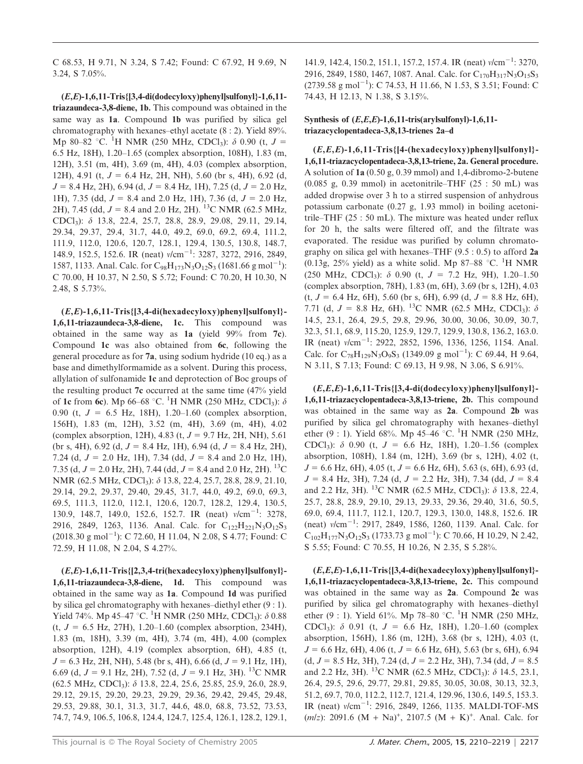C 68.53, H 9.71, N 3.24, S 7.42; Found: C 67.92, H 9.69, N 3.24, S 7.05%.

 $(E,E)$ -1,6,11-Tris{[3,4-di(dodecyloxy)phenyl]sulfonyl}-1,6,11triazaundeca-3,8-diene, 1b. This compound was obtained in the same way as 1a. Compound 1b was purified by silica gel chromatography with hexanes–ethyl acetate (8 : 2). Yield 89%. Mp 80–82 °C. <sup>1</sup>H NMR (250 MHz, CDCl<sub>3</sub>):  $\delta$  0.90 (t, J = 6.5 Hz, 18H), 1.20–1.65 (complex absorption, 108H), 1.83 (m, 12H), 3.51 (m, 4H), 3.69 (m, 4H), 4.03 (complex absorption, 12H), 4.91 (t,  $J = 6.4$  Hz, 2H, NH), 5.60 (br s, 4H), 6.92 (d,  $J = 8.4$  Hz, 2H), 6.94 (d,  $J = 8.4$  Hz, 1H), 7.25 (d,  $J = 2.0$  Hz, 1H), 7.35 (dd,  $J = 8.4$  and 2.0 Hz, 1H), 7.36 (d,  $J = 2.0$  Hz, 2H), 7.45 (dd,  $J = 8.4$  and 2.0 Hz, 2H). <sup>13</sup>C NMR (62.5 MHz, CDCl3): d 13.8, 22.4, 25.7, 28.8, 28.9, 29.08, 29.11, 29.14, 29.34, 29.37, 29.4, 31.7, 44.0, 49.2, 69.0, 69.2, 69.4, 111.2, 111.9, 112.0, 120.6, 120.7, 128.1, 129.4, 130.5, 130.8, 148.7, 148.9, 152.5, 152.6. IR (neat)  $v/cm^{-1}$ : 3287, 3272, 2916, 2849, 1587, 1133. Anal. Calc. for C<sub>98</sub>H<sub>173</sub>N<sub>3</sub>O<sub>12</sub>S<sub>3</sub> (1681.66 g mol<sup>-1</sup>): C 70.00, H 10.37, N 2.50, S 5.72; Found: C 70.20, H 10.30, N 2.48, S 5.73%.

 $(E,E)$ -1,6,11-Tris $\{3,4$ -di(hexadecyloxy)phenyl]sulfonyl}-1,6,11-triazaundeca-3,8-diene, 1c. This compound was obtained in the same way as 1a (yield 99% from 7c). Compound 1c was also obtained from 6c, following the general procedure as for 7a, using sodium hydride (10 eq.) as a base and dimethylformamide as a solvent. During this process, allylation of sulfonamide 1c and deprotection of Boc groups of the resulting product 7c occurred at the same time (47% yield of 1c from 6c). Mp 66–68 °C. <sup>1</sup>H NMR (250 MHz, CDCl<sub>3</sub>):  $\delta$ 0.90 (t,  $J = 6.5$  Hz, 18H), 1.20–1.60 (complex absorption, 156H), 1.83 (m, 12H), 3.52 (m, 4H), 3.69 (m, 4H), 4.02 (complex absorption, 12H), 4.83 (t,  $J = 9.7$  Hz, 2H, NH), 5.61 (br s, 4H), 6.92 (d,  $J = 8.4$  Hz, 1H), 6.94 (d,  $J = 8.4$  Hz, 2H), 7.24 (d,  $J = 2.0$  Hz, 1H), 7.34 (dd,  $J = 8.4$  and 2.0 Hz, 1H), 7.35 (d,  $J = 2.0$  Hz, 2H), 7.44 (dd,  $J = 8.4$  and 2.0 Hz, 2H). <sup>13</sup>C NMR (62.5 MHz, CDCl<sub>3</sub>): δ 13.8, 22.4, 25.7, 28.8, 28.9, 21.10, 29.14, 29.2, 29.37, 29.40, 29.45, 31.7, 44.0, 49.2, 69.0, 69.3, 69.5, 111.3, 112.0, 112.1, 120.6, 120.7, 128.2, 129.4, 130.5, 130.9, 148.7, 149.0, 152.6, 152.7. IR (neat)  $v/cm^{-1}$ : 3278, 2916, 2849, 1263, 1136. Anal. Calc. for  $C_{122}H_{221}N_3O_{12}S_3$  $(2018.30 \text{ g mol}^{-1})$ : C 72.60, H 11.04, N 2.08, S 4.77; Found: C 72.59, H 11.08, N 2.04, S 4.27%.

 $(E,E)$ -1,6,11-Tris $\{[2,3,4-tri(hexadecyboxy)phenyl]$ sulfonyl}-1,6,11-triazaundeca-3,8-diene, 1d. This compound was obtained in the same way as 1a. Compound 1d was purified by silica gel chromatography with hexanes–diethyl ether (9 : 1). Yield 74%. Mp 45–47 °C. <sup>1</sup>H NMR (250 MHz, CDCl<sub>3</sub>):  $\delta$  0.88  $(t, J = 6.5 \text{ Hz}, 27\text{H}), 1.20-1.60 \text{ (complex absorption, 234H)},$ 1.83 (m, 18H), 3.39 (m, 4H), 3.74 (m, 4H), 4.00 (complex absorption, 12H), 4.19 (complex absorption, 6H), 4.85 (t,  $J = 6.3$  Hz, 2H, NH), 5.48 (br s, 4H), 6.66 (d,  $J = 9.1$  Hz, 1H), 6.69 (d,  $J = 9.1$  Hz, 2H), 7.52 (d,  $J = 9.1$  Hz, 3H). <sup>13</sup>C NMR (62.5 MHz, CDCl3): d 13.8, 22.4, 25.6, 25.85, 25.9, 26.0, 28.9, 29.12, 29.15, 29.20, 29.23, 29.29, 29.36, 29.42, 29.45, 29.48, 29.53, 29.88, 30.1, 31.3, 31.7, 44.6, 48.0, 68.8, 73.52, 73.53, 74.7, 74.9, 106.5, 106.8, 124.4, 124.7, 125.4, 126.1, 128.2, 129.1, 141.9, 142.4, 150.2, 151.1, 157.2, 157.4. IR (neat)  $v/cm^{-1}$ : 3270, 2916, 2849, 1580, 1467, 1087. Anal. Calc. for C<sub>170</sub>H<sub>317</sub>N<sub>3</sub>O<sub>15</sub>S<sub>3</sub>  $(2739.58 \text{ g mol}^{-1})$ : C 74.53, H 11.66, N 1.53, S 3.51; Found: C 74.43, H 12.13, N 1.38, S 3.15%.

## Synthesis of  $(E,E,E)$ -1,6,11-tris(arylsulfonyl)-1,6,11triazacyclopentadeca-3,8,13-trienes 2a–d

 $(E,E,E)$ -1,6,11-Tris{[4-(hexadecyloxy)phenyl]sulfonyl}-1,6,11-triazacyclopentadeca-3,8,13-triene, 2a. General procedure. A solution of 1a (0.50 g, 0.39 mmol) and 1,4-dibromo-2-butene  $(0.085 \text{ g}, 0.39 \text{ mmol})$  in acetonitrile–THF  $(25 : 50 \text{ mL})$  was added dropwise over 3 h to a stirred suspension of anhydrous potassium carbonate (0.27 g, 1.93 mmol) in boiling acetonitrile–THF (25 : 50 mL). The mixture was heated under reflux for 20 h, the salts were filtered off, and the filtrate was evaporated. The residue was purified by column chromatography on silica gel with hexanes–THF  $(9.5: 0.5)$  to afford 2a (0.13g, 25% yield) as a white solid. Mp 87-88 °C. <sup>1</sup>H NMR (250 MHz, CDCl<sub>3</sub>):  $\delta$  0.90 (t,  $J = 7.2$  Hz, 9H), 1.20–1.50 (complex absorption, 78H), 1.83 (m, 6H), 3.69 (br s, 12H), 4.03  $(t, J = 6.4 \text{ Hz}, 6\text{H})$ , 5.60 (br s, 6H), 6.99 (d,  $J = 8.8 \text{ Hz}, 6\text{H}$ ), 7.71 (d,  $J = 8.8$  Hz, 6H). <sup>13</sup>C NMR (62.5 MHz, CDCl<sub>3</sub>):  $\delta$ 14.5, 23.1, 26.4, 29.5, 29.8, 29.96, 30.00, 30.06, 30.09, 30.7, 32.3, 51.1, 68.9, 115.20, 125.9, 129.7, 129.9, 130.8, 136.2, 163.0. IR (neat)  $v/cm^{-1}$ : 2922, 2852, 1596, 1336, 1256, 1154. Anal. Calc. for  $C_{78}H_{129}N_3O_9S_3$  (1349.09 g mol<sup>-1</sup>): C 69.44, H 9.64, N 3.11, S 7.13; Found: C 69.13, H 9.98, N 3.06, S 6.91%.

(E,E,E)-1,6,11-Tris{[3,4-di(dodecyloxy)phenyl]sulfonyl}- 1,6,11-triazacyclopentadeca-3,8,13-triene, 2b. This compound was obtained in the same way as 2a. Compound 2b was purified by silica gel chromatography with hexanes–diethyl ether (9 : 1). Yield 68%. Mp 45–46 °C. <sup>1</sup>H NMR (250 MHz, CDCl<sub>3</sub>):  $\delta$  0.90 (t,  $J = 6.6$  Hz, 18H), 1.20–1.56 (complex absorption, 108H), 1.84 (m, 12H), 3.69 (br s, 12H), 4.02 (t,  $J = 6.6$  Hz, 6H), 4.05 (t,  $J = 6.6$  Hz, 6H), 5.63 (s, 6H), 6.93 (d,  $J = 8.4$  Hz, 3H), 7.24 (d,  $J = 2.2$  Hz, 3H), 7.34 (dd,  $J = 8.4$ and 2.2 Hz, 3H). <sup>13</sup>C NMR (62.5 MHz, CDCl<sub>3</sub>):  $\delta$  13.8, 22.4, 25.7, 28.8, 28.9, 29.10, 29.13, 29.33, 29.36, 29.40, 31.6, 50.5, 69.0, 69.4, 111.7, 112.1, 120.7, 129.3, 130.0, 148.8, 152.6. IR  $(neat)$   $v/cm^{-1}$ : 2917, 2849, 1586, 1260, 1139. Anal. Calc. for  $C_{102}H_{177}N_3O_{12}S_3$  (1733.73 g mol<sup>-1</sup>): C 70.66, H 10.29, N 2.42, S 5.55; Found: C 70.55, H 10.26, N 2.35, S 5.28%.

 $(E,E,E)$ -1,6,11-Tris $\{3,4$ -di(hexadecyloxy)phenyl]sulfonyl}-1,6,11-triazacyclopentadeca-3,8,13-triene, 2c. This compound was obtained in the same way as 2a. Compound 2c was purified by silica gel chromatography with hexanes–diethyl ether (9 : 1). Yield 61%. Mp 78–80 °C. <sup>1</sup>H NMR (250 MHz, CDCl<sub>3</sub>):  $\delta$  0.91 (t, J = 6.6 Hz, 18H), 1.20–1.60 (complex absorption, 156H), 1.86 (m, 12H), 3.68 (br s, 12H), 4.03 (t,  $J = 6.6$  Hz, 6H), 4.06 (t,  $J = 6.6$  Hz, 6H), 5.63 (br s, 6H), 6.94  $(d, J = 8.5 \text{ Hz}, 3\text{H}), 7.24 (d, J = 2.2 \text{ Hz}, 3\text{H}), 7.34 (dd, J = 8.5 \text{ Hz})$ and 2.2 Hz, 3H). <sup>13</sup>C NMR (62.5 MHz, CDCl<sub>3</sub>):  $\delta$  14.5, 23.1, 26.4, 29.5, 29.6, 29.77, 29.81, 29.85, 30.05, 30.08, 30.13, 32.3, 51.2, 69.7, 70.0, 112.2, 112.7, 121.4, 129.96, 130.6, 149.5, 153.3. IR (neat)  $v/cm^{-1}$ : 2916, 2849, 1266, 1135. MALDI-TOF-MS  $(m/z)$ : 2091.6 (M + Na)<sup>+</sup>, 2107.5 (M + K)<sup>+</sup>. Anal. Calc. for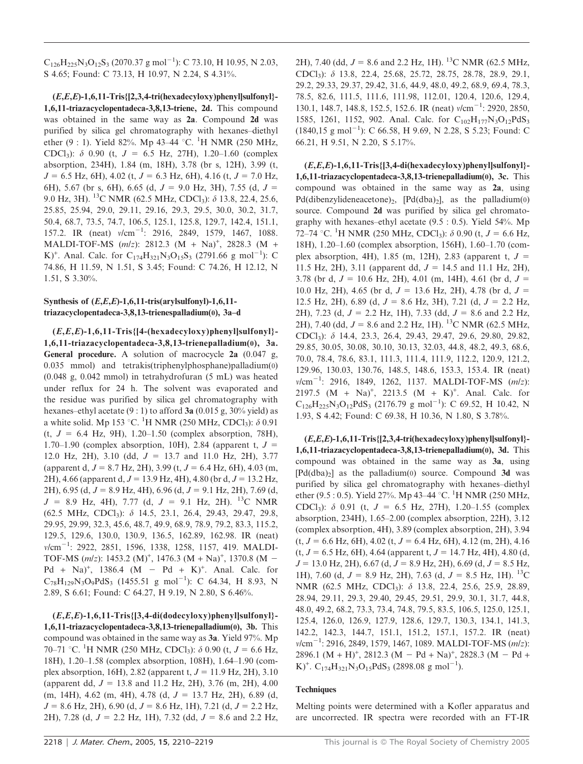$C_{126}H_{225}N_3O_{12}S_3$  (2070.37 g mol<sup>-1</sup>): C 73.10, H 10.95, N 2.03, S 4.65; Found: C 73.13, H 10.97, N 2.24, S 4.31%.

 $(E,E,E)$ -1,6,11-Tris $\{[2,3,4-tri(hexadecyloxy)$ phenyl $]$ sulfonyl $\}$ -1,6,11-triazacyclopentadeca-3,8,13-triene, 2d. This compound was obtained in the same way as 2a. Compound 2d was purified by silica gel chromatography with hexanes–diethyl ether (9 : 1). Yield 82%. Mp 43–44 °C. <sup>1</sup>H NMR (250 MHz, CDCl<sub>3</sub>):  $\delta$  0.90 (t,  $J = 6.5$  Hz, 27H), 1.20–1.60 (complex absorption, 234H), 1.84 (m, 18H), 3.78 (br s, 12H), 3.99 (t,  $J = 6.5$  Hz, 6H), 4.02 (t,  $J = 6.3$  Hz, 6H), 4.16 (t,  $J = 7.0$  Hz, 6H), 5.67 (br s, 6H), 6.65 (d,  $J = 9.0$  Hz, 3H), 7.55 (d,  $J =$ 9.0 Hz, 3H). <sup>13</sup>C NMR (62.5 MHz, CDCl<sub>3</sub>):  $\delta$  13.8, 22.4, 25.6, 25.85, 25.94, 29.0, 29.11, 29.16, 29.3, 29.5, 30.0, 30.2, 31.7, 50.4, 68.7, 73.5, 74.7, 106.5, 125.1, 125.8, 129.7, 142.4, 151.1, 157.2. IR (neat)  $v/cm^{-1}$ : 2916, 2849, 1579, 1467, 1088. MALDI-TOF-MS  $(m/z)$ : 2812.3  $(M + Na)^+$ , 2828.3  $(M +$ K)<sup>+</sup>. Anal. Calc. for C<sub>174</sub>H<sub>321</sub>N<sub>3</sub>O<sub>15</sub>S<sub>3</sub> (2791.66 g mol<sup>-1</sup>): C 74.86, H 11.59, N 1.51, S 3.45; Found: C 74.26, H 12.12, N 1.51, S 3.30%.

## Synthesis of  $(E,E,E)$ -1,6,11-tris(arylsulfonyl)-1,6,11triazacyclopentadeca-3,8,13-trienespalladium(0), 3a–d

 $(E,E,E)-1,6,11-Tris$  {[4-(hexadecyloxy)phenyl]sulfonyl}-1,6,11-triazacyclopentadeca-3,8,13-trienepalladium(0), 3a. General procedure. A solution of macrocycle 2a (0.047 g, 0.035 mmol) and tetrakis(triphenylphosphane)palladium(0) (0.048 g, 0.042 mmol) in tetrahydrofuran (5 mL) was heated under reflux for 24 h. The solvent was evaporated and the residue was purified by silica gel chromatography with hexanes–ethyl acetate  $(9:1)$  to afford 3a (0.015 g, 30% yield) as a white solid. Mp 153 °C. <sup>1</sup>H NMR (250 MHz, CDCl<sub>3</sub>):  $\delta$  0.91  $(t, J = 6.4 \text{ Hz}, 9\text{H}), 1.20-1.50$  (complex absorption, 78H), 1.70–1.90 (complex absorption, 10H), 2.84 (apparent t,  $J =$ 12.0 Hz, 2H), 3.10 (dd,  $J = 13.7$  and 11.0 Hz, 2H), 3.77 (apparent d,  $J = 8.7$  Hz, 2H), 3.99 (t,  $J = 6.4$  Hz, 6H), 4.03 (m, 2H), 4.66 (apparent d,  $J = 13.9$  Hz, 4H), 4.80 (br d,  $J = 13.2$  Hz, 2H), 6.95 (d,  $J = 8.9$  Hz, 4H), 6.96 (d,  $J = 9.1$  Hz, 2H), 7.69 (d,  $J = 8.9$  Hz, 4H), 7.77 (d,  $J = 9.1$  Hz, 2H). <sup>13</sup>C NMR (62.5 MHz, CDCl3): d 14.5, 23.1, 26.4, 29.43, 29.47, 29.8, 29.95, 29.99, 32.3, 45.6, 48.7, 49.9, 68.9, 78.9, 79.2, 83.3, 115.2, 129.5, 129.6, 130.0, 130.9, 136.5, 162.89, 162.98. IR (neat) v/cm<sup>-1</sup>: 2922, 2851, 1596, 1338, 1258, 1157, 419. MALDI-TOF-MS  $(m/z)$ : 1453.2  $(M)^{+}$ , 1476.3  $(M + Na)^{+}$ , 1370.8  $(M -$ Pd + Na)<sup>+</sup>, 1386.4 (M - Pd + K)<sup>+</sup>. Anal. Calc. for  $C_{78}H_{129}N_3O_9PdS_3$  (1455.51 g mol<sup>-1</sup>): C 64.34, H 8.93, N 2.89, S 6.61; Found: C 64.27, H 9.19, N 2.80, S 6.46%.

(E,E,E)-1,6,11-Tris{[3,4-di(dodecyloxy)phenyl]sulfonyl}- 1,6,11-triazacyclopentadeca-3,8,13-trienepalladium(0), 3b. This compound was obtained in the same way as 3a. Yield 97%. Mp 70–71 °C. <sup>1</sup>H NMR (250 MHz, CDCl<sub>3</sub>):  $\delta$  0.90 (t, *J* = 6.6 Hz, 18H), 1.20–1.58 (complex absorption, 108H), 1.64–1.90 (complex absorption, 16H), 2.82 (apparent t,  $J = 11.9$  Hz, 2H), 3.10 (apparent dd,  $J = 13.8$  and 11.2 Hz, 2H), 3.76 (m, 2H), 4.00  $(m, 14H), 4.62$   $(m, 4H), 4.78$   $(d, J = 13.7 \text{ Hz}, 2H), 6.89$   $(d,$  $J = 8.6$  Hz, 2H), 6.90 (d,  $J = 8.6$  Hz, 1H), 7.21 (d,  $J = 2.2$  Hz, 2H), 7.28 (d,  $J = 2.2$  Hz, 1H), 7.32 (dd,  $J = 8.6$  and 2.2 Hz, 2H), 7.40 (dd,  $J = 8.6$  and 2.2 Hz, 1H). <sup>13</sup>C NMR (62.5 MHz, CDCl3): d 13.8, 22.4, 25.68, 25.72, 28.75, 28.78, 28.9, 29.1, 29.2, 29.33, 29.37, 29.42, 31.6, 44.9, 48.0, 49.2, 68.9, 69.4, 78.3, 78.5, 82.6, 111.5, 111.6, 111.98, 112.01, 120.4, 120.6, 129.4, 130.1, 148.7, 148.8, 152.5, 152.6. IR (neat)  $v/cm^{-1}$ : 2920, 2850, 1585, 1261, 1152, 902. Anal. Calc. for C<sub>102</sub>H<sub>177</sub>N<sub>3</sub>O<sub>12</sub>PdS<sub>3</sub>  $(1840, 15 \text{ g mol}^{-1})$ : C 66.58, H 9.69, N 2.28, S 5.23; Found: C 66.21, H 9.51, N 2.20, S 5.17%.

 $(E,E,E)$ -1,6,11-Tris $\{3,4$ -di(hexadecyloxy)phenyl]sulfonyl}-1,6,11-triazacyclopentadeca-3,8,13-trienepalladium(0), 3c. This compound was obtained in the same way as 2a, using Pd(dibenzylideneacetone)<sub>2</sub>, [Pd(dba)<sub>2</sub>], as the palladium(0) source. Compound 2d was purified by silica gel chromatography with hexanes–ethyl acetate (9.5 : 0.5). Yield 54%. Mp 72–74 °C. <sup>1</sup>H NMR (250 MHz, CDCl<sub>3</sub>):  $\delta$  0.90 (t, J = 6.6 Hz, 18H), 1.20–1.60 (complex absorption, 156H), 1.60–1.70 (complex absorption, 4H), 1.85 (m, 12H), 2.83 (apparent t,  $J =$ 11.5 Hz, 2H), 3.11 (apparent dd,  $J = 14.5$  and 11.1 Hz, 2H), 3.78 (br d,  $J = 10.6$  Hz, 2H), 4.01 (m, 14H), 4.61 (br d,  $J =$ 10.0 Hz, 2H), 4.65 (br d,  $J = 13.6$  Hz, 2H), 4.78 (br d,  $J =$ 12.5 Hz, 2H), 6.89 (d,  $J = 8.6$  Hz, 3H), 7.21 (d,  $J = 2.2$  Hz, 2H), 7.23 (d,  $J = 2.2$  Hz, 1H), 7.33 (dd,  $J = 8.6$  and 2.2 Hz, 2H), 7.40 (dd,  $J = 8.6$  and 2.2 Hz, 1H). <sup>13</sup>C NMR (62.5 MHz, CDCl3): d 14.4, 23.3, 26.4, 29.43, 29.47, 29.6, 29.80, 29.82, 29.85, 30.05, 30.08, 30.10, 30.13, 32.03, 44.8, 48.2, 49.3, 68.6, 70.0, 78.4, 78.6, 83.1, 111.3, 111.4, 111.9, 112.2, 120.9, 121.2, 129.96, 130.03, 130.76, 148.5, 148.6, 153.3, 153.4. IR (neat)  $v/cm^{-1}$ : 2916, 1849, 1262, 1137. MALDI-TOF-MS  $(m/z)$ : 2197.5  $(M + Na)^{+}$ , 2213.5  $(M + K)^{+}$ . Anal. Calc. for  $C_{126}H_{225}N_3O_{12}PdS_3$  (2176.79 g mol<sup>-1</sup>): C 69.52, H 10.42, N 1.93, S 4.42; Found: C 69.38, H 10.36, N 1.80, S 3.78%.

(E,E,E)-1,6,11-Tris{[2,3,4-tri(hexadecyloxy)phenyl]sulfonyl}- 1,6,11-triazacyclopentadeca-3,8,13-trienepalladium(0), 3d. This compound was obtained in the same way as 3a, using  $[Pd(dba)<sub>2</sub>]$  as the palladium(0) source. Compound 3d was purified by silica gel chromatography with hexanes–diethyl ether (9.5 : 0.5). Yield 27%. Mp 43–44 °C. <sup>1</sup>H NMR (250 MHz, CDCl<sub>3</sub>):  $\delta$  0.91 (t,  $J = 6.5$  Hz, 27H), 1.20–1.55 (complex absorption, 234H), 1.65–2.00 (complex absorption, 22H), 3.12 (complex absorption, 4H), 3.89 (complex absorption, 2H), 3.94  $(t, J = 6.6$  Hz, 6H), 4.02  $(t, J = 6.4$  Hz, 6H), 4.12 (m, 2H), 4.16  $(t, J = 6.5 \text{ Hz}, 6\text{H})$ , 4.64 (apparent t,  $J = 14.7 \text{ Hz}, 4\text{H}$ ), 4.80 (d,  $J = 13.0$  Hz, 2H), 6.67 (d,  $J = 8.9$  Hz, 2H), 6.69 (d,  $J = 8.5$  Hz, 1H), 7.60 (d,  $J = 8.9$  Hz, 2H), 7.63 (d,  $J = 8.5$  Hz, 1H). <sup>13</sup>C NMR (62.5 MHz, CDCl<sub>3</sub>): δ 13.8, 22.4, 25.6, 25.9, 28.89, 28.94, 29.11, 29.3, 29.40, 29.45, 29.51, 29.9, 30.1, 31.7, 44.8, 48.0, 49.2, 68.2, 73.3, 73.4, 74.8, 79.5, 83.5, 106.5, 125.0, 125.1, 125.4, 126.0, 126.9, 127.9, 128.6, 129.7, 130.3, 134.1, 141.3, 142.2, 142.3, 144.7, 151.1, 151.2, 157.1, 157.2. IR (neat)  $v/cm^{-1}$ : 2916, 2849, 1579, 1467, 1089. MALDI-TOF-MS  $(m/z)$ :  $2896.1 \ (M + H)^{+}$ ,  $2812.3 \ (M - Pd + Na)^{+}$ ,  $2828.3 \ (M - Pd +$ K)<sup>+</sup>. C<sub>174</sub>H<sub>321</sub>N<sub>3</sub>O<sub>15</sub>PdS<sub>3</sub> (2898.08 g mol<sup>-1</sup>).

#### **Techniques**

Melting points were determined with a Kofler apparatus and are uncorrected. IR spectra were recorded with an FT-IR